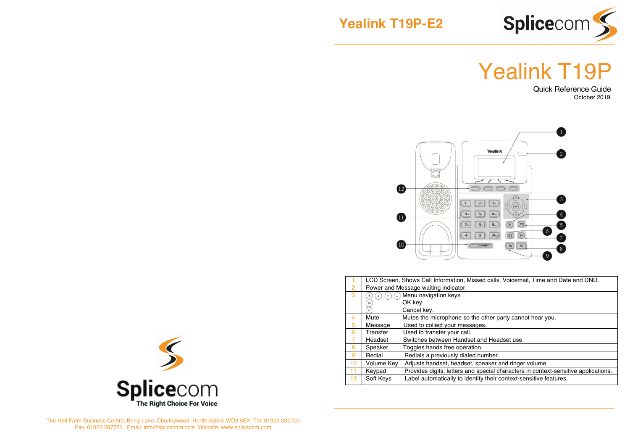



# Yealink T19P



|    | LCD Screen, Shows Call Information, Missed calls, Voicemail, Time and Date and DND. |                                                                                    |  |
|----|-------------------------------------------------------------------------------------|------------------------------------------------------------------------------------|--|
| 2  | Power and Message waiting indicator.                                                |                                                                                    |  |
| 3  | Menu navigation keys<br>$\blacktriangle$                                            |                                                                                    |  |
|    | ОК                                                                                  | OK key                                                                             |  |
|    | $\times$                                                                            | Cancel kev.                                                                        |  |
| 4  | Mute                                                                                | Mutes the microphone so the other party cannot hear you.                           |  |
| 5  | Message                                                                             | Used to collect your messages.                                                     |  |
| 6  | Transfer                                                                            | Used to transfer your call.                                                        |  |
|    | Headset                                                                             | Switches between Handset and Headset use.                                          |  |
| 8  | Speaker                                                                             | Toggles hands free operation.                                                      |  |
| 9  | Redial                                                                              | Redials a previously dialed number.                                                |  |
| 10 | Volume Key                                                                          | Adjusts handset, headset, speaker and ringer volume.                               |  |
| 11 | Keypad                                                                              | Provides digits, letters and special characters in context-sensitive applications. |  |
| 12 | Soft Keys                                                                           | Label automatically to identity their context-sensitive features.                  |  |



The Hall Farm Business Centre, Berry Lane, Chorleywood, Hertfordshire WD3 5EX Tel: 01923 287700 Fax: 01923 287722 Email: info@splicecom.com Website: www.splicecom.com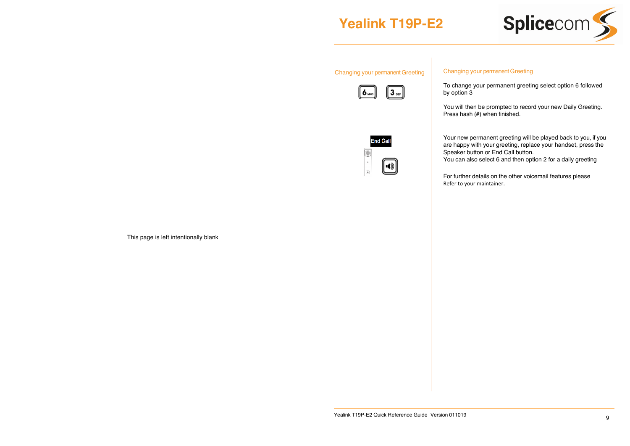## **Yealink T19P-E2**



#### Changing your permanent Greeting





Your new permanent greeting will be played back to you, if you are happy with your greeting, replace your handset, press the Speaker button or End Call button.

To change your permanent greeting select option 6 followed

You will then be prompted to record your new Daily Greeting.

You can also select 6 and then option 2 for a daily greeting

Changing your permanent Greeting

Press hash (#) when finished.

by option 3

For further details on the other voicemail features please Refer to your maintainer.

This page is left intentionally blank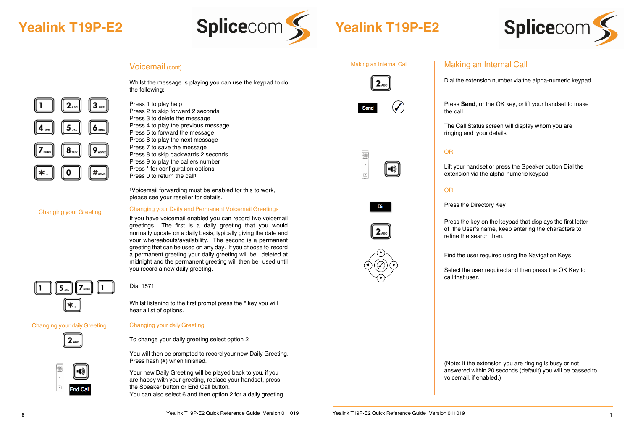



## Voicemail (cont)

Press 1 to play help

Press 2 to skip forward 2 seconds Press 3 to delete the message Press 4 to play the previous message Press 5 to forward the message Press 6 to play the next message Press 7 to save the message Press 8 to skip backwards 2 seconds Press 9 to play the callers number Press \* for configuration options Press 0 to return the call1

please see your reseller for details.

Whilst the message is playing you can use the keypad to do the following: -

 $2_{ABC}$  $3 6 9_{\rm wxy}$  $8_{\text{rw}}$  $#_{\text{sen}}$  $\Omega$ 

#### Changing your Greeting

#### Changing your Daily and Permanent Voicemail Greetings

1Voicemail forwarding must be enabled for this to work,

If you have voicemail enabled you can record two voicemail greetings. The first is a daily greeting that you would normally update on a daily basis, typically giving the date and your whereabouts/availability. The second is a permanent greeting that can be used on any day. If you choose to record a permanent greeting your daily greeting will be deleted at midnight and the permanent greeting will then be used until you record a new daily greeting.



Changing your daily Greeting

J

10

**End Cal** 

 $2_{ABC}$ 

Dial 1571

Whilst listening to the first prompt press the \* key you will hear a list of options.

#### Changing your daily Greeting

To change your daily greeting select option 2

You will then be prompted to record your new Daily Greeting. Press hash (#) when finished.

Your new Daily Greeting will be played back to you, if you are happy with your greeting, replace your handset, press the Speaker button or End Call button. You can also select 6 and then option 2 for a daily greeting.



Making an Internal Call











#### Making an Internal Call

Dial the extension number via the alpha-numeric keypad

Press **Send**, or the OK key, or lift your handset to make the call.

The Call Status screen will display whom you are ringing and your details

#### OR

Lift your handset or press the Speaker button Dial the extension via the alpha-numeric keypad

#### OR

Press the Directory Key

Press the key on the keypad that displays the first letter of the User's name, keep entering the characters to refine the search then.

Find the user required using the Navigation Keys

Select the user required and then press the OK Key to call that user.

(Note: If the extension you are ringing is busy or not answered within 20 seconds (default) you will be passed to voicemail, if enabled.)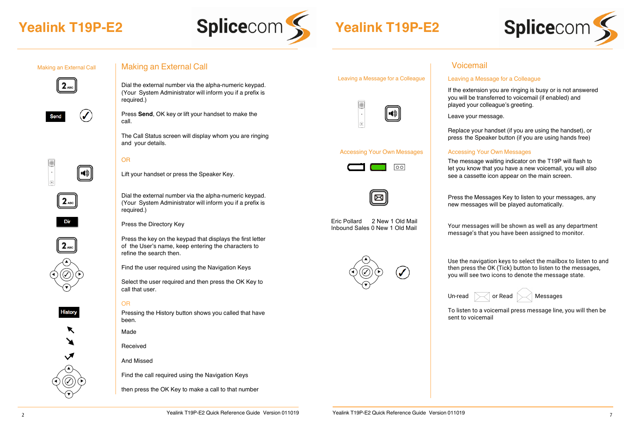



#### Making an External Call





Making an External Call

Dial the external number via the alpha-numeric keypad. (Your System Administrator will inform you if a prefix is required.)

Press **Send**, OK key or lift your handset to make the call.

The Call Status screen will display whom you are ringing and your details.

#### OR



 $2_{ABC}$ 

Dir

✓  $\blacktriangle$ 

p

 $\blacktriangledown$ 

History

✓  $\blacktriangle$ 

 $\blacktriangleleft$ 

 $\blacktriangledown$ 

p

p

Lift your handset or press the Speaker Key.

Dial the external number via the alpha-numeric keypad. (Your System Administrator will inform you if a prefix is required.)

Press the Directory Key

Press the key on the keypad that displays the first letter of the User's name, keep entering the characters to refine the search then.

Find the user required using the Navigation Keys

Select the user required and then press the OK Key to call that user.

#### OR

Pressing the History button shows you called that have been.

Made

Received

And Missed

Find the call required using the Navigation Keys

then press the OK Key to make a call to that number



Leaving a Message for a Colleague

#### Accessing Your Own Messages





Eric Pollard 2 New 1 Old Mail Inbound Sales 0 New 1 Old Mail



## Voicemail

#### Leaving a Message for a Colleague

If the extension you are ringing is busy or is not answered you will be transferred to voicemail (if enabled) and played your colleague's greeting.

Leave your message.

Replace your handset (if you are using the handset), or press the Speaker button (if you are using hands free)

#### Accessing Your Own Messages

The message waiting indicator on the T19P will flash to let you know that you have a new voicemail, you will also see a cassette icon appear on the main screen.

Press the Messages Key to listen to your messages, any new messages will be played automatically.

Your messages will be shown as well as any department message's that you have been assigned to monitor.

Use the navigation keys to select the mailbox to listen to and then press the OK (Tick) button to listen to the messages, you will see two icons to denote the message state.



To listen to a voicemail press message line, you will then be sent to voicemail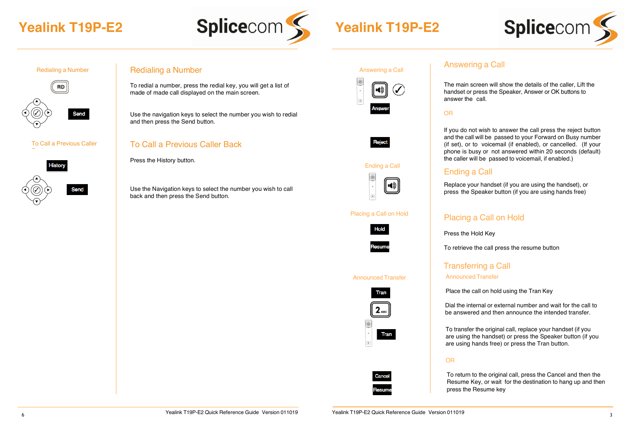





#### To Call a Previous Caller



## Redialing a Number **Redialing a Number** Answering a Call

To redial a number, press the redial key, you will get a list of made of made call displayed on the main screen.

Use the navigation keys to select the number you wish to redial and then press the Send button.

## To Call a Previous Caller Back

Press the History button.

Use the Navigation keys to select the number you wish to call back and then press the Send button.

| Answering a Gall |               |  |  |  |
|------------------|---------------|--|--|--|
|                  |               |  |  |  |
|                  | <b>Answer</b> |  |  |  |



#### Ending a Call



#### Placing a Call on Hold



#### Announced Transfer





## Answering a Call

The main screen will show the details of the caller. Lift the handset or press the Speaker, Answer or OK buttons to answer the call.

#### OR

If you do not wish to answer the call press the reject button and the call will be passed to your Forward on Busy number (if set), or to voicemail (if enabled), or cancelled. (If your phone is busy or not answered within 20 seconds (default) the caller will be passed to voicemail, if enabled.)

## Ending a Call

Replace your handset (if you are using the handset), or press the Speaker button (if you are using hands free)

## Placing a Call on Hold

Press the Hold Key

To retrieve the call press the resume button

## Transferring a Call Announced Transfer

Place the call on hold using the Tran Key

Dial the internal or external number and wait for the call to be answered and then announce the intended transfer.

 To transfer the original call, replace your handset (if you are using the handset) or press the Speaker button (if you are using hands free) or press the Tran button.

#### OR

To return to the original call, press the Cancel and then the Resume Key, or wait for the destination to hang up and then press the Resume key